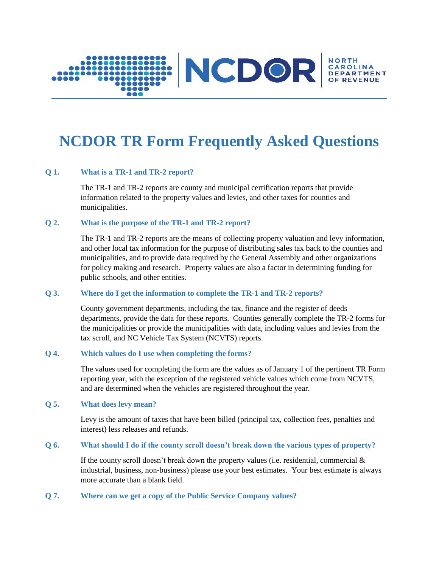

# **NCDOR TR Form Frequently Asked Questions**

# **Q 1. What is a TR-1 and TR-2 report?**

The TR-1 and TR-2 reports are county and municipal certification reports that provide information related to the property values and levies, and other taxes for counties and municipalities.

## **Q 2. What is the purpose of the TR-1 and TR-2 report?**

The TR-1 and TR-2 reports are the means of collecting property valuation and levy information, and other local tax information for the purpose of distributing sales tax back to the counties and municipalities, and to provide data required by the General Assembly and other organizations for policy making and research. Property values are also a factor in determining funding for public schools, and other entities.

## **Q 3. Where do I get the information to complete the TR-1 and TR-2 reports?**

County government departments, including the tax, finance and the register of deeds departments, provide the data for these reports. Counties generally complete the TR-2 forms for the municipalities or provide the municipalities with data, including values and levies from the tax scroll, and NC Vehicle Tax System (NCVTS) reports.

## **Q 4. Which values do I use when completing the forms?**

The values used for completing the form are the values as of January 1 of the pertinent TR Form reporting year, with the exception of the registered vehicle values which come from NCVTS, and are determined when the vehicles are registered throughout the year.

## **Q 5. What does levy mean?**

Levy is the amount of taxes that have been billed (principal tax, collection fees, penalties and interest) less releases and refunds.

## **Q 6. What should I do if the county scroll doesn't break down the various types of property?**

If the county scroll doesn't break down the property values (i.e. residential, commercial  $\&$ industrial, business, non-business) please use your best estimates. Your best estimate is always more accurate than a blank field.

#### **Q 7. Where can we get a copy of the Public Service Company values?**